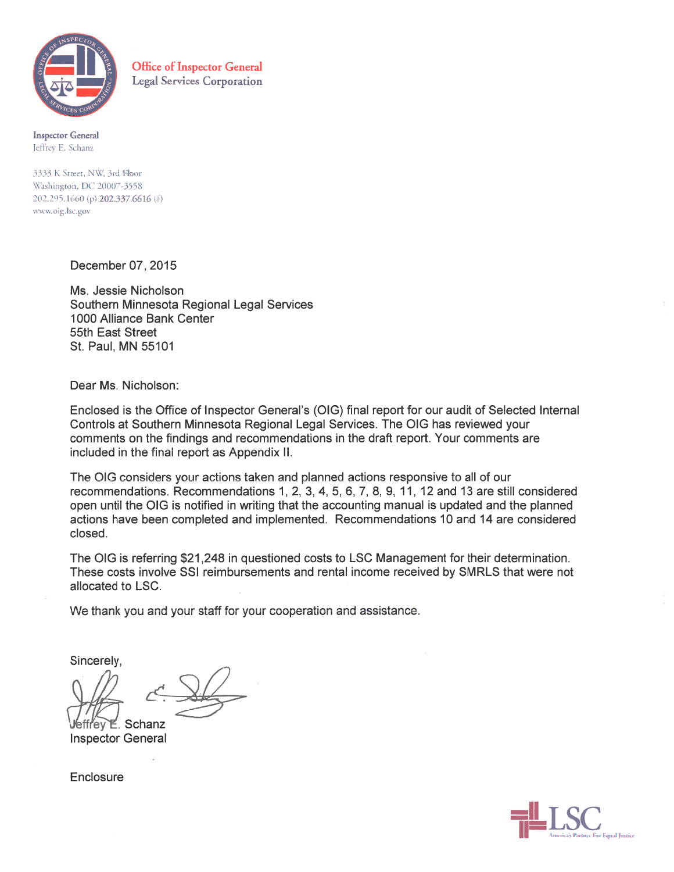

**Office of Inspector General Legal Services Corporation** 

**Inspector General** Jeffrey E. Schanz

3333 K Street, NW, 3rd Floor Washington, DC 20007-3558 202.295.1660 (p) 202.337.6616 (f) www.oig.lsc.gov

December 07, 2015

Ms. Jessie Nicholson Southern Minnesota Regional Legal Services 1000 Alliance Bank Center 55th East Street St. Paul, MN 55101

Dear Ms. Nicholson:

Enclosed is the Office of Inspector General's (OIG) final report for our audit of Selected Internal Controls at Southern Minnesota Regional Legal Services. The OIG has reviewed your comments on the findings and recommendations in the draft report. Your comments are included in the final report as Appendix II.

The OIG considers your actions taken and planned actions responsive to all of our recommendations. Recommendations 1, 2, 3, 4, 5, 6, 7, 8, 9, 11, 12 and 13 are still considered open until the OIG is notified in writing that the accounting manual is updated and the planned actions have been completed and implemented. Recommendations 10 and 14 are considered closed.

The OIG is referring \$21,248 in questioned costs to LSC Management for their determination. These costs involve SSI reimbursements and rental income received by SMRLS that were not allocated to LSC.

We thank you and your staff for your cooperation and assistance.

Sincerely,

Schanz **Inspector General** 

Enclosure

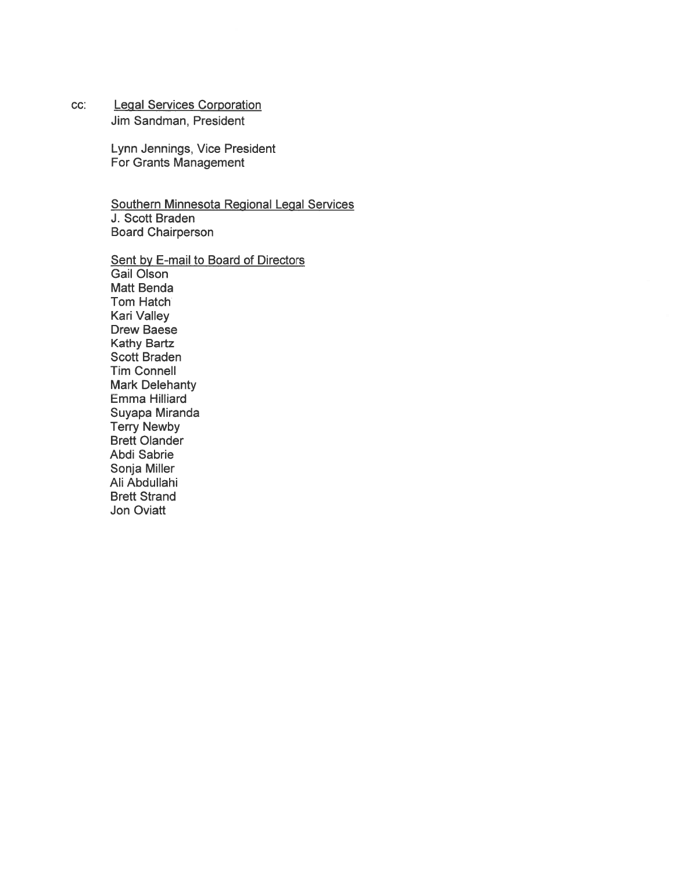**Legal Services Corporation** CC. Jim Sandman, President

> Lynn Jennings, Vice President For Grants Management

Southern Minnesota Regional Legal Services J. Scott Braden **Board Chairperson** 

Sent by E-mail to Board of Directors<br>Gail Olson Matt Benda Tom Hatch Kari Valley Drew Baese **Kathy Bartz** Scott Braden **Tim Connell Mark Delehanty** Emma Hilliard Suyapa Miranda **Terry Newby Brett Olander** Abdi Sabrie Sonja Miller Ali Abdullahi **Brett Strand** Jon Oviatt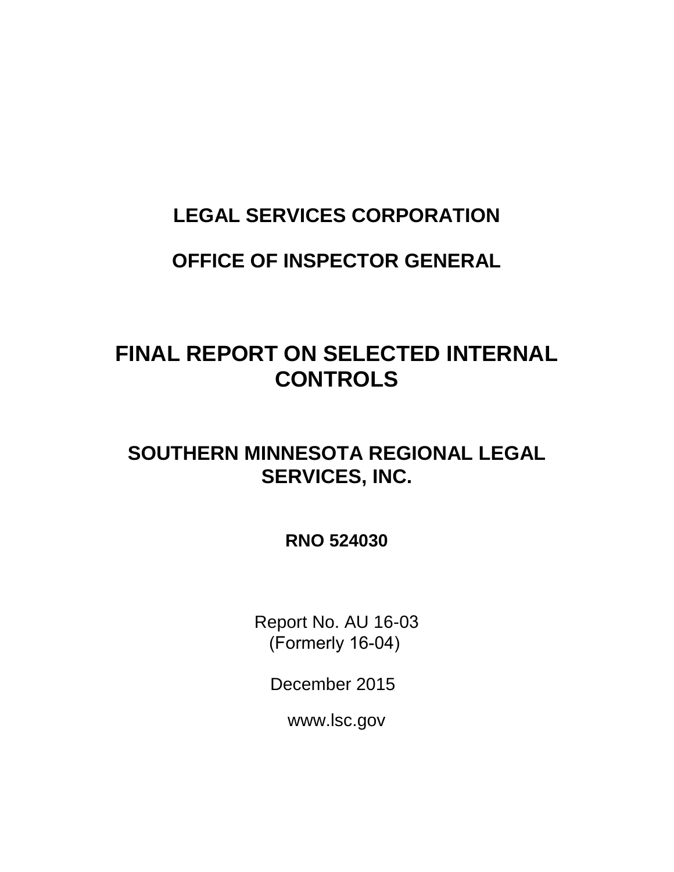# **LEGAL SERVICES CORPORATION**

# **OFFICE OF INSPECTOR GENERAL**

# **FINAL REPORT ON SELECTED INTERNAL CONTROLS**

# **SOUTHERN MINNESOTA REGIONAL LEGAL SERVICES, INC.**

## **RNO 524030**

Report No. AU 16-03 (Formerly 16-04)

December 2015

www.lsc.gov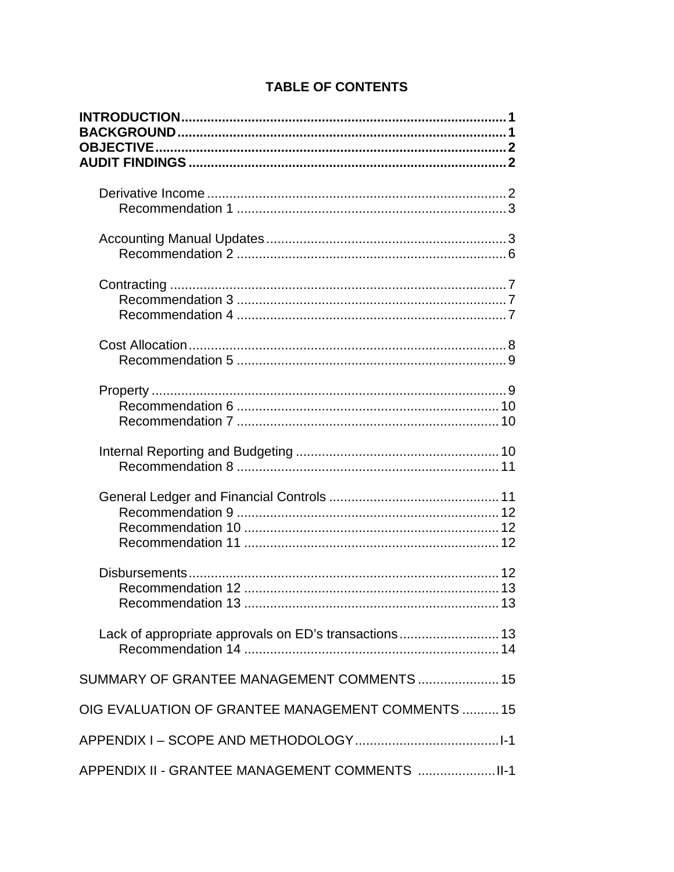| Lack of appropriate approvals on ED's transactions 13 |  |
|-------------------------------------------------------|--|
|                                                       |  |
| SUMMARY OF GRANTEE MANAGEMENT COMMENTS  15            |  |
| OIG EVALUATION OF GRANTEE MANAGEMENT COMMENTS  15     |  |
|                                                       |  |
| APPENDIX II - GRANTEE MANAGEMENT COMMENTS II-1        |  |

### **TABLE OF CONTENTS**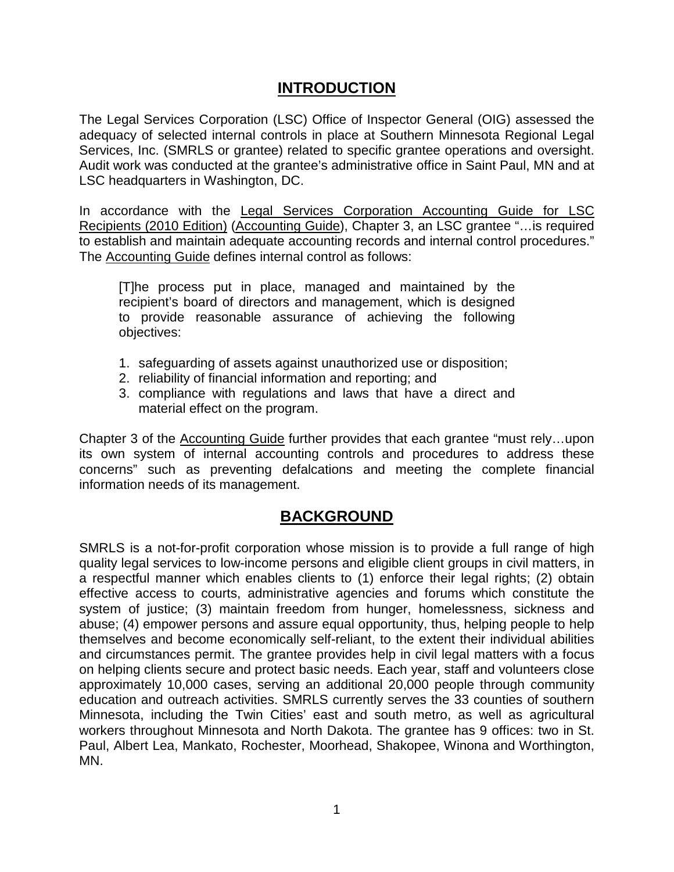### **INTRODUCTION**

The Legal Services Corporation (LSC) Office of Inspector General (OIG) assessed the adequacy of selected internal controls in place at Southern Minnesota Regional Legal Services, Inc. (SMRLS or grantee) related to specific grantee operations and oversight. Audit work was conducted at the grantee's administrative office in Saint Paul, MN and at LSC headquarters in Washington, DC.

In accordance with the Legal Services Corporation Accounting Guide for LSC Recipients (2010 Edition) (Accounting Guide), Chapter 3, an LSC grantee "…is required to establish and maintain adequate accounting records and internal control procedures." The Accounting Guide defines internal control as follows:

[T]he process put in place, managed and maintained by the recipient's board of directors and management, which is designed to provide reasonable assurance of achieving the following objectives:

- 1. safeguarding of assets against unauthorized use or disposition;
- 2. reliability of financial information and reporting; and
- 3. compliance with regulations and laws that have a direct and material effect on the program.

Chapter 3 of the Accounting Guide further provides that each grantee "must rely…upon its own system of internal accounting controls and procedures to address these concerns" such as preventing defalcations and meeting the complete financial information needs of its management.

### **BACKGROUND**

SMRLS is a not-for-profit corporation whose mission is to provide a full range of high quality legal services to low-income persons and eligible client groups in civil matters, in a respectful manner which enables clients to (1) enforce their legal rights; (2) obtain effective access to courts, administrative agencies and forums which constitute the system of justice; (3) maintain freedom from hunger, homelessness, sickness and abuse; (4) empower persons and assure equal opportunity, thus, helping people to help themselves and become economically self-reliant, to the extent their individual abilities and circumstances permit. The grantee provides help in civil legal matters with a focus on helping clients secure and protect basic needs. Each year, staff and volunteers close approximately 10,000 cases, serving an additional 20,000 people through community education and outreach activities. SMRLS currently serves the 33 counties of southern Minnesota, including the Twin Cities' east and south metro, as well as agricultural workers throughout Minnesota and North Dakota. The grantee has 9 offices: two in St. Paul, Albert Lea, Mankato, Rochester, Moorhead, Shakopee, Winona and Worthington, MN.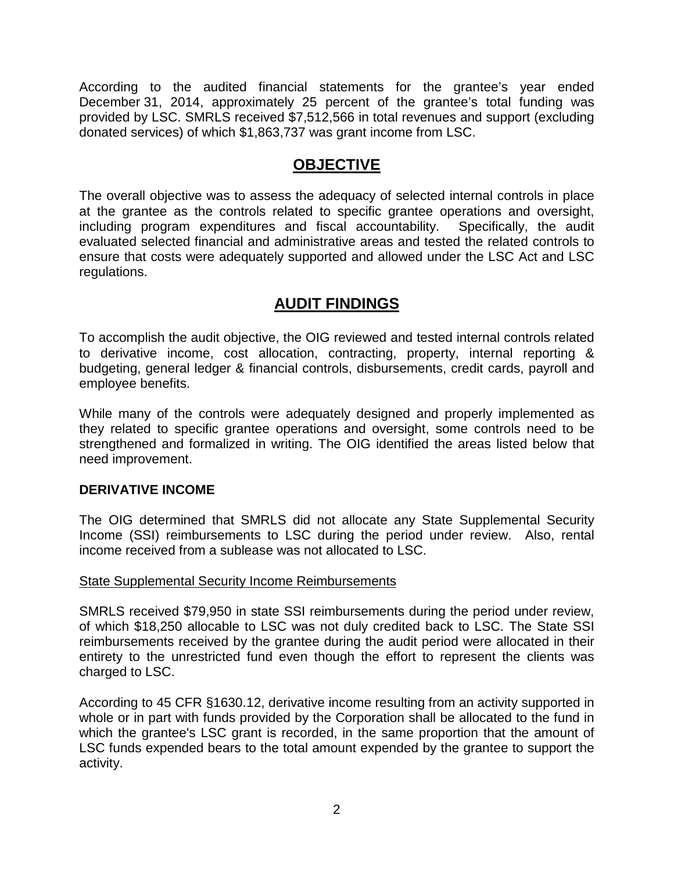According to the audited financial statements for the grantee's year ended December 31, 2014, approximately 25 percent of the grantee's total funding was provided by LSC. SMRLS received \$7,512,566 in total revenues and support (excluding donated services) of which \$1,863,737 was grant income from LSC.

### **OBJECTIVE**

The overall objective was to assess the adequacy of selected internal controls in place at the grantee as the controls related to specific grantee operations and oversight, including program expenditures and fiscal accountability. Specifically, the audit evaluated selected financial and administrative areas and tested the related controls to ensure that costs were adequately supported and allowed under the LSC Act and LSC regulations.

### **AUDIT FINDINGS**

To accomplish the audit objective, the OIG reviewed and tested internal controls related to derivative income, cost allocation, contracting, property, internal reporting & budgeting, general ledger & financial controls, disbursements, credit cards, payroll and employee benefits.

While many of the controls were adequately designed and properly implemented as they related to specific grantee operations and oversight, some controls need to be strengthened and formalized in writing. The OIG identified the areas listed below that need improvement.

#### **DERIVATIVE INCOME**

The OIG determined that SMRLS did not allocate any State Supplemental Security Income (SSI) reimbursements to LSC during the period under review. Also, rental income received from a sublease was not allocated to LSC.

#### State Supplemental Security Income Reimbursements

SMRLS received \$79,950 in state SSI reimbursements during the period under review, of which \$18,250 allocable to LSC was not duly credited back to LSC. The State SSI reimbursements received by the grantee during the audit period were allocated in their entirety to the unrestricted fund even though the effort to represent the clients was charged to LSC.

According to 45 CFR §1630.12, derivative income resulting from an activity supported in whole or in part with funds provided by the Corporation shall be allocated to the fund in which the grantee's LSC grant is recorded, in the same proportion that the amount of LSC funds expended bears to the total amount expended by the grantee to support the activity.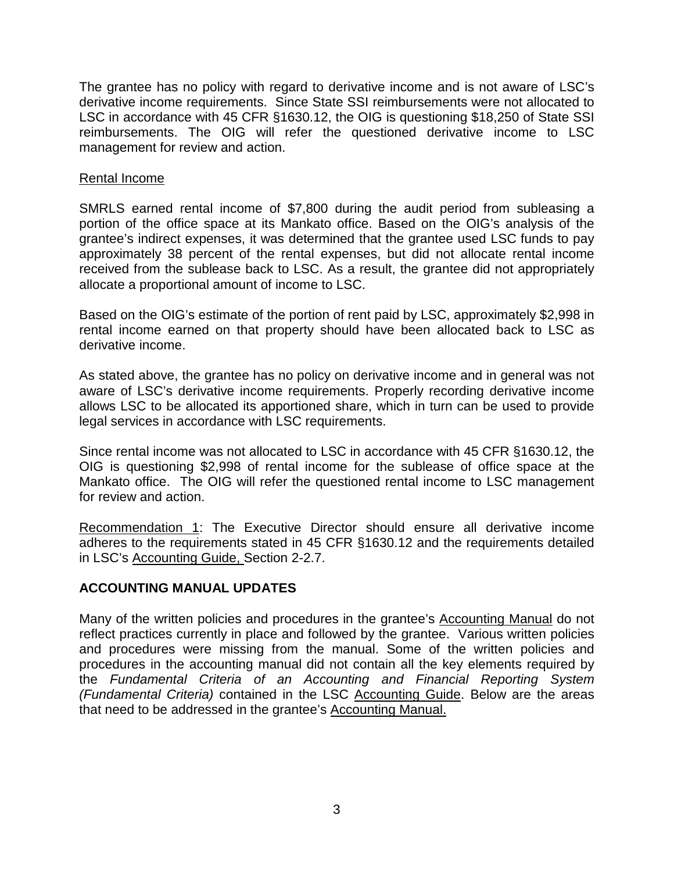The grantee has no policy with regard to derivative income and is not aware of LSC's derivative income requirements. Since State SSI reimbursements were not allocated to LSC in accordance with 45 CFR §1630.12, the OIG is questioning \$18,250 of State SSI reimbursements. The OIG will refer the questioned derivative income to LSC management for review and action.

#### Rental Income

SMRLS earned rental income of \$7,800 during the audit period from subleasing a portion of the office space at its Mankato office. Based on the OIG's analysis of the grantee's indirect expenses, it was determined that the grantee used LSC funds to pay approximately 38 percent of the rental expenses, but did not allocate rental income received from the sublease back to LSC. As a result, the grantee did not appropriately allocate a proportional amount of income to LSC.

Based on the OIG's estimate of the portion of rent paid by LSC, approximately \$2,998 in rental income earned on that property should have been allocated back to LSC as derivative income.

As stated above, the grantee has no policy on derivative income and in general was not aware of LSC's derivative income requirements. Properly recording derivative income allows LSC to be allocated its apportioned share, which in turn can be used to provide legal services in accordance with LSC requirements.

Since rental income was not allocated to LSC in accordance with 45 CFR §1630.12, the OIG is questioning \$2,998 of rental income for the sublease of office space at the Mankato office. The OIG will refer the questioned rental income to LSC management for review and action.

Recommendation 1: The Executive Director should ensure all derivative income adheres to the requirements stated in 45 CFR §1630.12 and the requirements detailed in LSC's Accounting Guide, Section 2-2.7.

#### **ACCOUNTING MANUAL UPDATES**

Many of the written policies and procedures in the grantee's Accounting Manual do not reflect practices currently in place and followed by the grantee. Various written policies and procedures were missing from the manual. Some of the written policies and procedures in the accounting manual did not contain all the key elements required by the *Fundamental Criteria of an Accounting and Financial Reporting System (Fundamental Criteria)* contained in the LSC Accounting Guide. Below are the areas that need to be addressed in the grantee's Accounting Manual.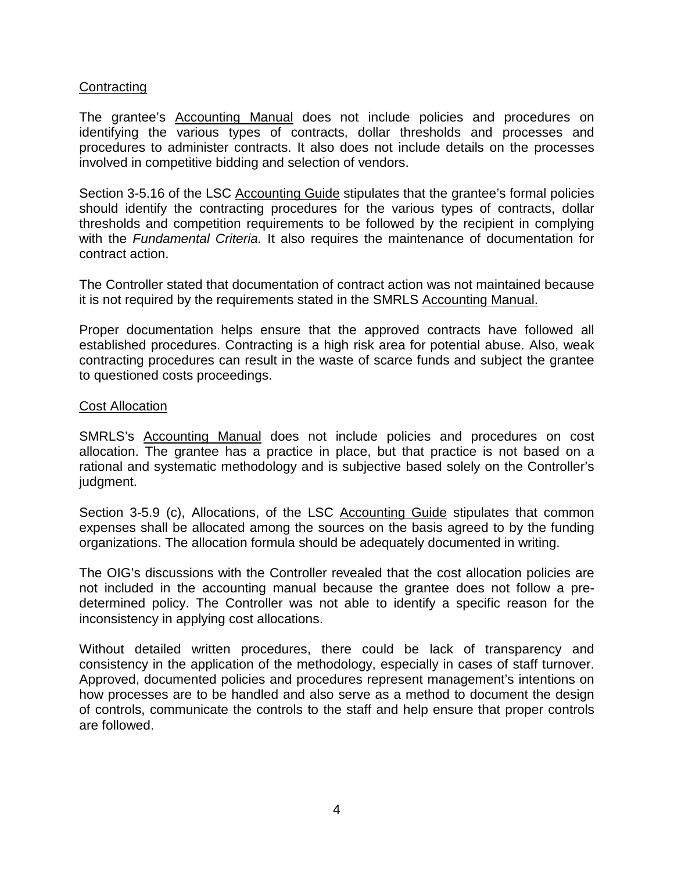#### **Contracting**

The grantee's Accounting Manual does not include policies and procedures on identifying the various types of contracts, dollar thresholds and processes and procedures to administer contracts. It also does not include details on the processes involved in competitive bidding and selection of vendors.

Section 3-5.16 of the LSC Accounting Guide stipulates that the grantee's formal policies should identify the contracting procedures for the various types of contracts, dollar thresholds and competition requirements to be followed by the recipient in complying with the *Fundamental Criteria.* It also requires the maintenance of documentation for contract action.

The Controller stated that documentation of contract action was not maintained because it is not required by the requirements stated in the SMRLS Accounting Manual.

Proper documentation helps ensure that the approved contracts have followed all established procedures. Contracting is a high risk area for potential abuse. Also, weak contracting procedures can result in the waste of scarce funds and subject the grantee to questioned costs proceedings.

#### Cost Allocation

SMRLS's Accounting Manual does not include policies and procedures on cost allocation. The grantee has a practice in place, but that practice is not based on a rational and systematic methodology and is subjective based solely on the Controller's judgment.

Section 3-5.9 (c), Allocations, of the LSC Accounting Guide stipulates that common expenses shall be allocated among the sources on the basis agreed to by the funding organizations. The allocation formula should be adequately documented in writing.

The OIG's discussions with the Controller revealed that the cost allocation policies are not included in the accounting manual because the grantee does not follow a predetermined policy. The Controller was not able to identify a specific reason for the inconsistency in applying cost allocations.

Without detailed written procedures, there could be lack of transparency and consistency in the application of the methodology, especially in cases of staff turnover. Approved, documented policies and procedures represent management's intentions on how processes are to be handled and also serve as a method to document the design of controls, communicate the controls to the staff and help ensure that proper controls are followed.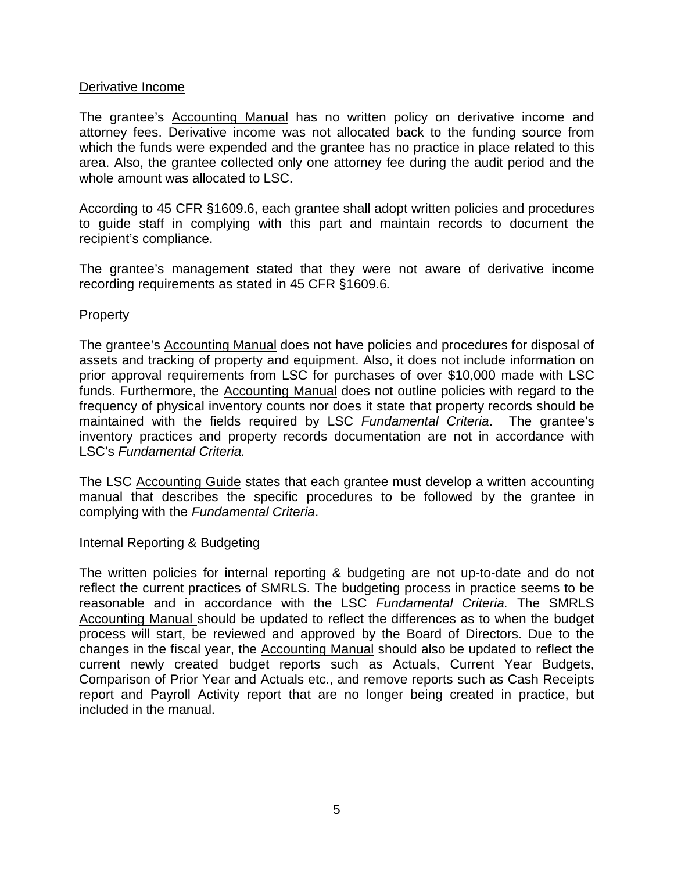#### Derivative Income

The grantee's Accounting Manual has no written policy on derivative income and attorney fees. Derivative income was not allocated back to the funding source from which the funds were expended and the grantee has no practice in place related to this area. Also, the grantee collected only one attorney fee during the audit period and the whole amount was allocated to LSC.

According to 45 CFR §1609.6, each grantee shall adopt written policies and procedures to guide staff in complying with this part and maintain records to document the recipient's compliance.

The grantee's management stated that they were not aware of derivative income recording requirements as stated in 45 CFR §1609.6*.*

#### **Property**

The grantee's Accounting Manual does not have policies and procedures for disposal of assets and tracking of property and equipment. Also, it does not include information on prior approval requirements from LSC for purchases of over \$10,000 made with LSC funds. Furthermore, the Accounting Manual does not outline policies with regard to the frequency of physical inventory counts nor does it state that property records should be maintained with the fields required by LSC *Fundamental Criteria*. The grantee's inventory practices and property records documentation are not in accordance with LSC's *Fundamental Criteria.*

The LSC Accounting Guide states that each grantee must develop a written accounting manual that describes the specific procedures to be followed by the grantee in complying with the *Fundamental Criteria*.

#### Internal Reporting & Budgeting

The written policies for internal reporting & budgeting are not up-to-date and do not reflect the current practices of SMRLS. The budgeting process in practice seems to be reasonable and in accordance with the LSC *Fundamental Criteria.* The SMRLS Accounting Manual should be updated to reflect the differences as to when the budget process will start, be reviewed and approved by the Board of Directors. Due to the changes in the fiscal year, the Accounting Manual should also be updated to reflect the current newly created budget reports such as Actuals, Current Year Budgets, Comparison of Prior Year and Actuals etc., and remove reports such as Cash Receipts report and Payroll Activity report that are no longer being created in practice, but included in the manual.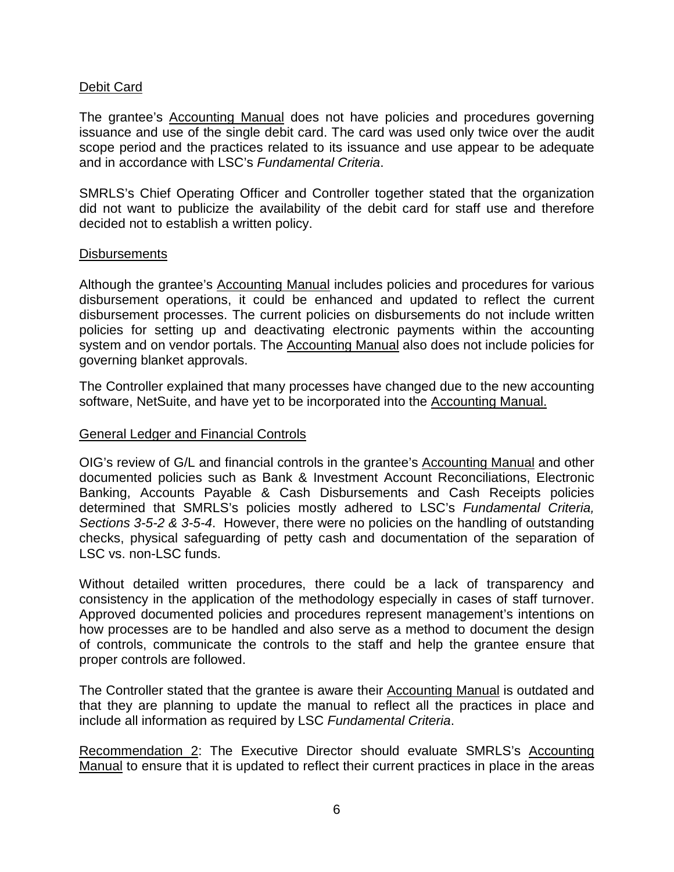#### Debit Card

The grantee's Accounting Manual does not have policies and procedures governing issuance and use of the single debit card. The card was used only twice over the audit scope period and the practices related to its issuance and use appear to be adequate and in accordance with LSC's *Fundamental Criteria*.

SMRLS's Chief Operating Officer and Controller together stated that the organization did not want to publicize the availability of the debit card for staff use and therefore decided not to establish a written policy.

#### **Disbursements**

Although the grantee's Accounting Manual includes policies and procedures for various disbursement operations, it could be enhanced and updated to reflect the current disbursement processes. The current policies on disbursements do not include written policies for setting up and deactivating electronic payments within the accounting system and on vendor portals. The Accounting Manual also does not include policies for governing blanket approvals.

The Controller explained that many processes have changed due to the new accounting software, NetSuite, and have yet to be incorporated into the Accounting Manual.

#### General Ledger and Financial Controls

OIG's review of G/L and financial controls in the grantee's Accounting Manual and other documented policies such as Bank & Investment Account Reconciliations, Electronic Banking, Accounts Payable & Cash Disbursements and Cash Receipts policies determined that SMRLS's policies mostly adhered to LSC's *Fundamental Criteria, Sections 3-5-2 & 3-5-4*. However, there were no policies on the handling of outstanding checks, physical safeguarding of petty cash and documentation of the separation of LSC vs. non-LSC funds.

Without detailed written procedures, there could be a lack of transparency and consistency in the application of the methodology especially in cases of staff turnover. Approved documented policies and procedures represent management's intentions on how processes are to be handled and also serve as a method to document the design of controls, communicate the controls to the staff and help the grantee ensure that proper controls are followed.

The Controller stated that the grantee is aware their Accounting Manual is outdated and that they are planning to update the manual to reflect all the practices in place and include all information as required by LSC *Fundamental Criteria*.

Recommendation 2: The Executive Director should evaluate SMRLS's Accounting Manual to ensure that it is updated to reflect their current practices in place in the areas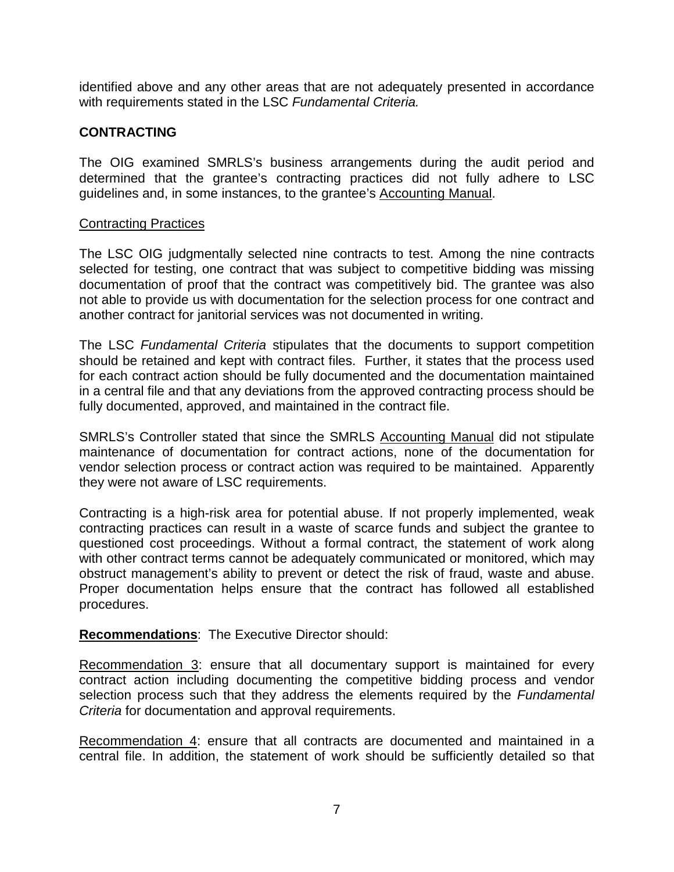identified above and any other areas that are not adequately presented in accordance with requirements stated in the LSC *Fundamental Criteria.*

#### **CONTRACTING**

The OIG examined SMRLS's business arrangements during the audit period and determined that the grantee's contracting practices did not fully adhere to LSC guidelines and, in some instances, to the grantee's Accounting Manual.

#### Contracting Practices

The LSC OIG judgmentally selected nine contracts to test. Among the nine contracts selected for testing, one contract that was subject to competitive bidding was missing documentation of proof that the contract was competitively bid. The grantee was also not able to provide us with documentation for the selection process for one contract and another contract for janitorial services was not documented in writing.

The LSC *Fundamental Criteria* stipulates that the documents to support competition should be retained and kept with contract files. Further, it states that the process used for each contract action should be fully documented and the documentation maintained in a central file and that any deviations from the approved contracting process should be fully documented, approved, and maintained in the contract file.

SMRLS's Controller stated that since the SMRLS Accounting Manual did not stipulate maintenance of documentation for contract actions, none of the documentation for vendor selection process or contract action was required to be maintained. Apparently they were not aware of LSC requirements.

Contracting is a high-risk area for potential abuse. If not properly implemented, weak contracting practices can result in a waste of scarce funds and subject the grantee to questioned cost proceedings. Without a formal contract, the statement of work along with other contract terms cannot be adequately communicated or monitored, which may obstruct management's ability to prevent or detect the risk of fraud, waste and abuse. Proper documentation helps ensure that the contract has followed all established procedures.

#### **Recommendations**: The Executive Director should:

Recommendation 3: ensure that all documentary support is maintained for every contract action including documenting the competitive bidding process and vendor selection process such that they address the elements required by the *Fundamental Criteria* for documentation and approval requirements.

Recommendation 4: ensure that all contracts are documented and maintained in a central file. In addition, the statement of work should be sufficiently detailed so that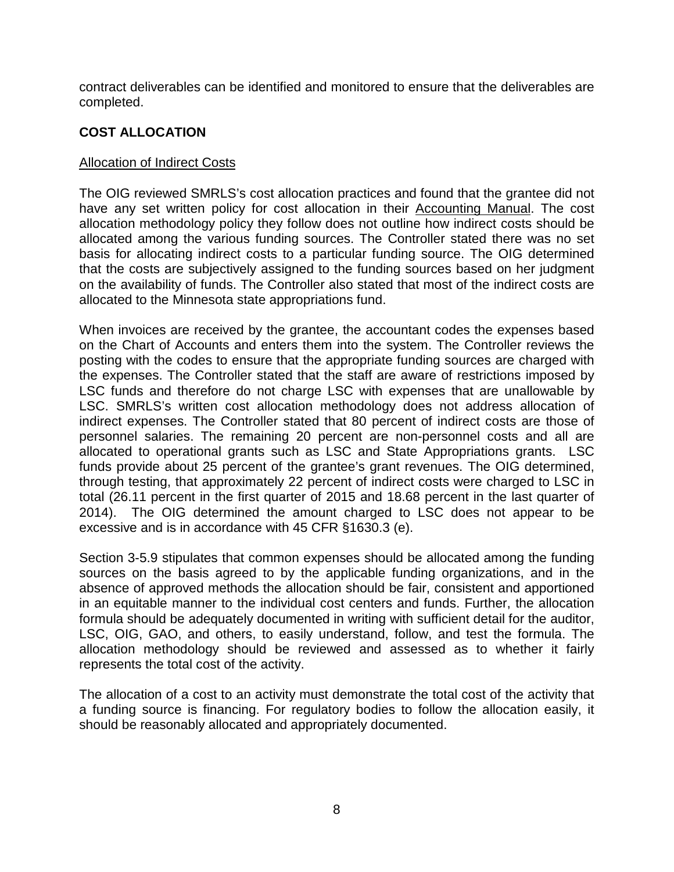contract deliverables can be identified and monitored to ensure that the deliverables are completed.

#### **COST ALLOCATION**

#### Allocation of Indirect Costs

The OIG reviewed SMRLS's cost allocation practices and found that the grantee did not have any set written policy for cost allocation in their Accounting Manual. The cost allocation methodology policy they follow does not outline how indirect costs should be allocated among the various funding sources. The Controller stated there was no set basis for allocating indirect costs to a particular funding source. The OIG determined that the costs are subjectively assigned to the funding sources based on her judgment on the availability of funds. The Controller also stated that most of the indirect costs are allocated to the Minnesota state appropriations fund.

When invoices are received by the grantee, the accountant codes the expenses based on the Chart of Accounts and enters them into the system. The Controller reviews the posting with the codes to ensure that the appropriate funding sources are charged with the expenses. The Controller stated that the staff are aware of restrictions imposed by LSC funds and therefore do not charge LSC with expenses that are unallowable by LSC. SMRLS's written cost allocation methodology does not address allocation of indirect expenses. The Controller stated that 80 percent of indirect costs are those of personnel salaries. The remaining 20 percent are non-personnel costs and all are allocated to operational grants such as LSC and State Appropriations grants. LSC funds provide about 25 percent of the grantee's grant revenues. The OIG determined, through testing, that approximately 22 percent of indirect costs were charged to LSC in total (26.11 percent in the first quarter of 2015 and 18.68 percent in the last quarter of 2014). The OIG determined the amount charged to LSC does not appear to be excessive and is in accordance with 45 CFR §1630.3 (e).

Section 3-5.9 stipulates that common expenses should be allocated among the funding sources on the basis agreed to by the applicable funding organizations, and in the absence of approved methods the allocation should be fair, consistent and apportioned in an equitable manner to the individual cost centers and funds. Further, the allocation formula should be adequately documented in writing with sufficient detail for the auditor, LSC, OIG, GAO, and others, to easily understand, follow, and test the formula. The allocation methodology should be reviewed and assessed as to whether it fairly represents the total cost of the activity.

The allocation of a cost to an activity must demonstrate the total cost of the activity that a funding source is financing. For regulatory bodies to follow the allocation easily, it should be reasonably allocated and appropriately documented.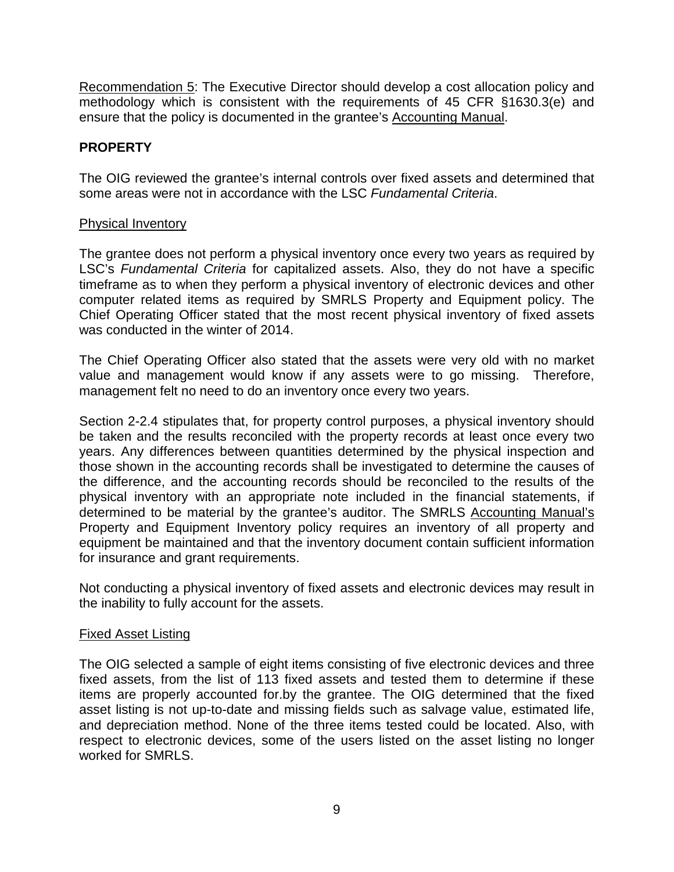Recommendation 5: The Executive Director should develop a cost allocation policy and methodology which is consistent with the requirements of 45 CFR §1630.3(e) and ensure that the policy is documented in the grantee's Accounting Manual.

#### **PROPERTY**

The OIG reviewed the grantee's internal controls over fixed assets and determined that some areas were not in accordance with the LSC *Fundamental Criteria*.

#### Physical Inventory

The grantee does not perform a physical inventory once every two years as required by LSC's *Fundamental Criteria* for capitalized assets. Also, they do not have a specific timeframe as to when they perform a physical inventory of electronic devices and other computer related items as required by SMRLS Property and Equipment policy. The Chief Operating Officer stated that the most recent physical inventory of fixed assets was conducted in the winter of 2014.

The Chief Operating Officer also stated that the assets were very old with no market value and management would know if any assets were to go missing. Therefore, management felt no need to do an inventory once every two years.

Section 2-2.4 stipulates that, for property control purposes, a physical inventory should be taken and the results reconciled with the property records at least once every two years. Any differences between quantities determined by the physical inspection and those shown in the accounting records shall be investigated to determine the causes of the difference, and the accounting records should be reconciled to the results of the physical inventory with an appropriate note included in the financial statements, if determined to be material by the grantee's auditor. The SMRLS Accounting Manual's Property and Equipment Inventory policy requires an inventory of all property and equipment be maintained and that the inventory document contain sufficient information for insurance and grant requirements.

Not conducting a physical inventory of fixed assets and electronic devices may result in the inability to fully account for the assets.

#### Fixed Asset Listing

The OIG selected a sample of eight items consisting of five electronic devices and three fixed assets, from the list of 113 fixed assets and tested them to determine if these items are properly accounted for.by the grantee. The OIG determined that the fixed asset listing is not up-to-date and missing fields such as salvage value, estimated life, and depreciation method. None of the three items tested could be located. Also, with respect to electronic devices, some of the users listed on the asset listing no longer worked for SMRLS.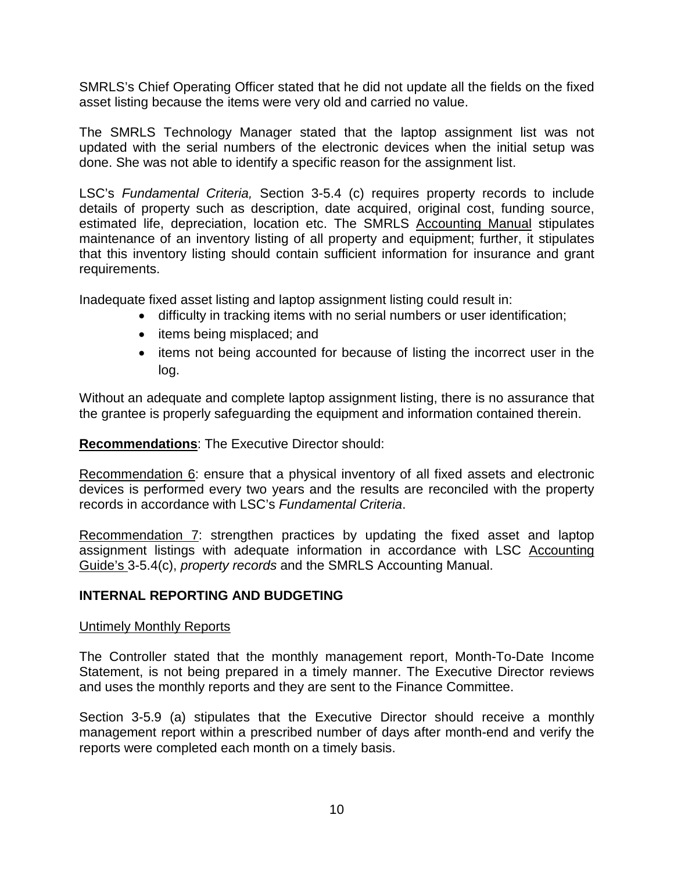SMRLS's Chief Operating Officer stated that he did not update all the fields on the fixed asset listing because the items were very old and carried no value.

The SMRLS Technology Manager stated that the laptop assignment list was not updated with the serial numbers of the electronic devices when the initial setup was done. She was not able to identify a specific reason for the assignment list.

LSC's *Fundamental Criteria,* Section 3-5.4 (c) requires property records to include details of property such as description, date acquired, original cost, funding source, estimated life, depreciation, location etc. The SMRLS Accounting Manual stipulates maintenance of an inventory listing of all property and equipment; further, it stipulates that this inventory listing should contain sufficient information for insurance and grant requirements.

Inadequate fixed asset listing and laptop assignment listing could result in:

- difficulty in tracking items with no serial numbers or user identification;
- items being misplaced; and
- items not being accounted for because of listing the incorrect user in the log.

Without an adequate and complete laptop assignment listing, there is no assurance that the grantee is properly safeguarding the equipment and information contained therein.

**Recommendations**: The Executive Director should:

Recommendation 6: ensure that a physical inventory of all fixed assets and electronic devices is performed every two years and the results are reconciled with the property records in accordance with LSC's *Fundamental Criteria*.

Recommendation 7: strengthen practices by updating the fixed asset and laptop assignment listings with adequate information in accordance with LSC Accounting Guide's 3-5.4(c), *property records* and the SMRLS Accounting Manual.

#### **INTERNAL REPORTING AND BUDGETING**

#### Untimely Monthly Reports

The Controller stated that the monthly management report, Month-To-Date Income Statement, is not being prepared in a timely manner. The Executive Director reviews and uses the monthly reports and they are sent to the Finance Committee.

Section 3-5.9 (a) stipulates that the Executive Director should receive a monthly management report within a prescribed number of days after month-end and verify the reports were completed each month on a timely basis.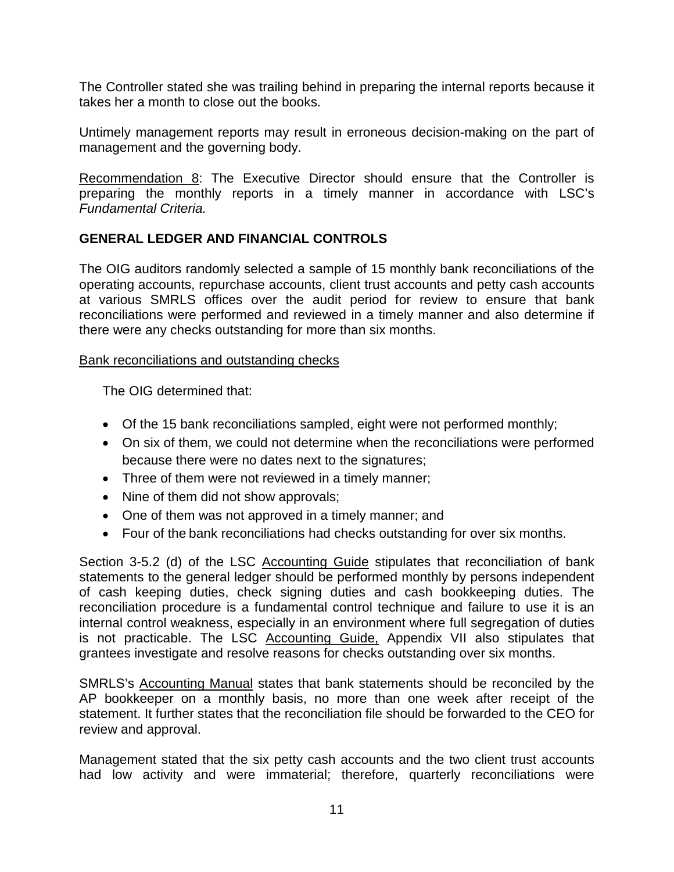The Controller stated she was trailing behind in preparing the internal reports because it takes her a month to close out the books.

Untimely management reports may result in erroneous decision-making on the part of management and the governing body.

Recommendation 8: The Executive Director should ensure that the Controller is preparing the monthly reports in a timely manner in accordance with LSC's *Fundamental Criteria.*

### **GENERAL LEDGER AND FINANCIAL CONTROLS**

The OIG auditors randomly selected a sample of 15 monthly bank reconciliations of the operating accounts, repurchase accounts, client trust accounts and petty cash accounts at various SMRLS offices over the audit period for review to ensure that bank reconciliations were performed and reviewed in a timely manner and also determine if there were any checks outstanding for more than six months.

#### Bank reconciliations and outstanding checks

The OIG determined that:

- Of the 15 bank reconciliations sampled, eight were not performed monthly;
- On six of them, we could not determine when the reconciliations were performed because there were no dates next to the signatures;
- Three of them were not reviewed in a timely manner;
- Nine of them did not show approvals;
- One of them was not approved in a timely manner; and
- Four of the bank reconciliations had checks outstanding for over six months.

Section 3-5.2 (d) of the LSC Accounting Guide stipulates that reconciliation of bank statements to the general ledger should be performed monthly by persons independent of cash keeping duties, check signing duties and cash bookkeeping duties. The reconciliation procedure is a fundamental control technique and failure to use it is an internal control weakness, especially in an environment where full segregation of duties is not practicable. The LSC Accounting Guide, Appendix VII also stipulates that grantees investigate and resolve reasons for checks outstanding over six months.

SMRLS's Accounting Manual states that bank statements should be reconciled by the AP bookkeeper on a monthly basis, no more than one week after receipt of the statement. It further states that the reconciliation file should be forwarded to the CEO for review and approval.

Management stated that the six petty cash accounts and the two client trust accounts had low activity and were immaterial; therefore, quarterly reconciliations were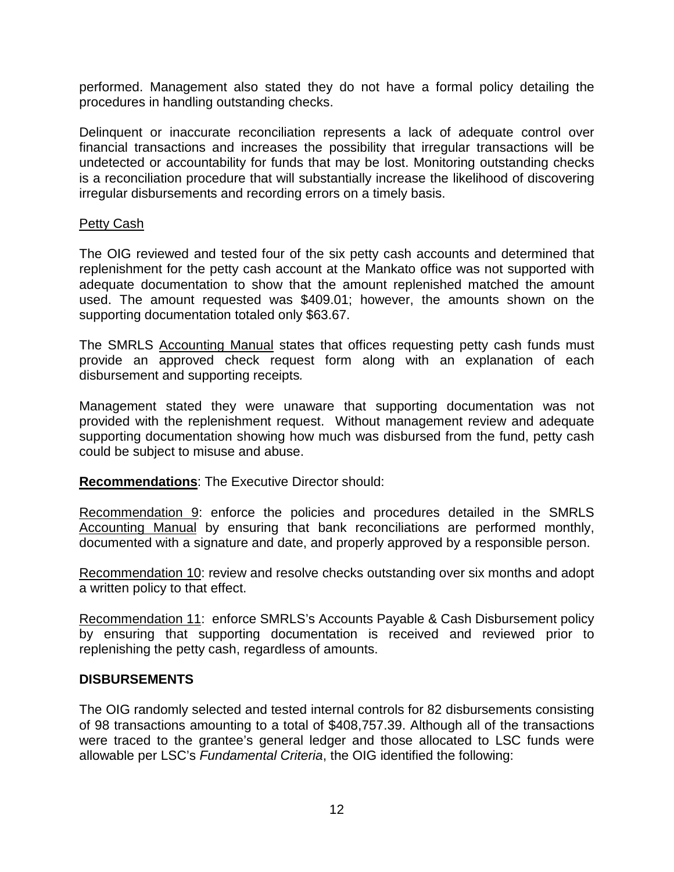performed. Management also stated they do not have a formal policy detailing the procedures in handling outstanding checks.

Delinquent or inaccurate reconciliation represents a lack of adequate control over financial transactions and increases the possibility that irregular transactions will be undetected or accountability for funds that may be lost. Monitoring outstanding checks is a reconciliation procedure that will substantially increase the likelihood of discovering irregular disbursements and recording errors on a timely basis.

#### Petty Cash

The OIG reviewed and tested four of the six petty cash accounts and determined that replenishment for the petty cash account at the Mankato office was not supported with adequate documentation to show that the amount replenished matched the amount used. The amount requested was \$409.01; however, the amounts shown on the supporting documentation totaled only \$63.67.

The SMRLS Accounting Manual states that offices requesting petty cash funds must provide an approved check request form along with an explanation of each disbursement and supporting receipts*.* 

Management stated they were unaware that supporting documentation was not provided with the replenishment request. Without management review and adequate supporting documentation showing how much was disbursed from the fund, petty cash could be subject to misuse and abuse.

#### **Recommendations**: The Executive Director should:

Recommendation 9: enforce the policies and procedures detailed in the SMRLS Accounting Manual by ensuring that bank reconciliations are performed monthly, documented with a signature and date, and properly approved by a responsible person.

Recommendation 10: review and resolve checks outstanding over six months and adopt a written policy to that effect.

Recommendation 11: enforce SMRLS's Accounts Payable & Cash Disbursement policy by ensuring that supporting documentation is received and reviewed prior to replenishing the petty cash, regardless of amounts.

#### **DISBURSEMENTS**

The OIG randomly selected and tested internal controls for 82 disbursements consisting of 98 transactions amounting to a total of \$408,757.39. Although all of the transactions were traced to the grantee's general ledger and those allocated to LSC funds were allowable per LSC's *Fundamental Criteria*, the OIG identified the following: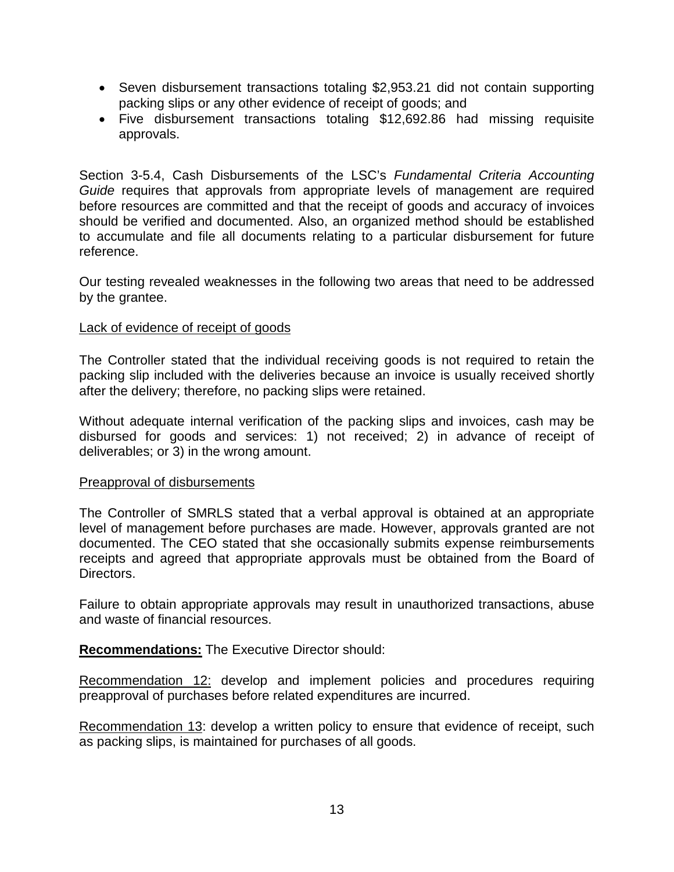- Seven disbursement transactions totaling \$2,953.21 did not contain supporting packing slips or any other evidence of receipt of goods; and
- Five disbursement transactions totaling \$12,692.86 had missing requisite approvals.

Section 3-5.4, Cash Disbursements of the LSC's *Fundamental Criteria Accounting Guide* requires that approvals from appropriate levels of management are required before resources are committed and that the receipt of goods and accuracy of invoices should be verified and documented. Also, an organized method should be established to accumulate and file all documents relating to a particular disbursement for future reference.

Our testing revealed weaknesses in the following two areas that need to be addressed by the grantee.

#### Lack of evidence of receipt of goods

The Controller stated that the individual receiving goods is not required to retain the packing slip included with the deliveries because an invoice is usually received shortly after the delivery; therefore, no packing slips were retained.

Without adequate internal verification of the packing slips and invoices, cash may be disbursed for goods and services: 1) not received; 2) in advance of receipt of deliverables; or 3) in the wrong amount.

#### Preapproval of disbursements

The Controller of SMRLS stated that a verbal approval is obtained at an appropriate level of management before purchases are made. However, approvals granted are not documented. The CEO stated that she occasionally submits expense reimbursements receipts and agreed that appropriate approvals must be obtained from the Board of Directors.

Failure to obtain appropriate approvals may result in unauthorized transactions, abuse and waste of financial resources.

**Recommendations:** The Executive Director should:

Recommendation 12: develop and implement policies and procedures requiring preapproval of purchases before related expenditures are incurred.

Recommendation 13: develop a written policy to ensure that evidence of receipt, such as packing slips, is maintained for purchases of all goods.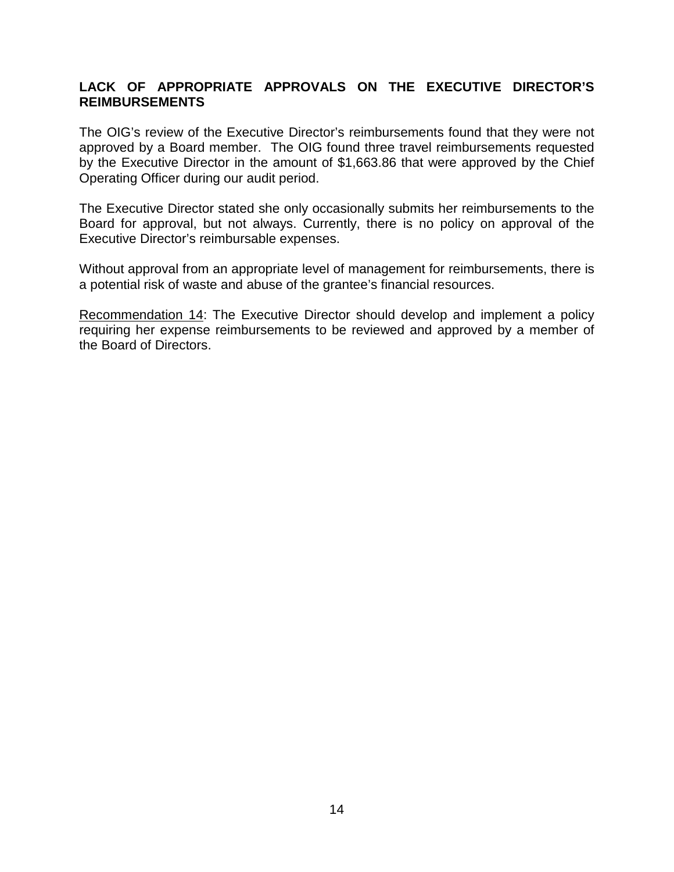#### **LACK OF APPROPRIATE APPROVALS ON THE EXECUTIVE DIRECTOR'S REIMBURSEMENTS**

The OIG's review of the Executive Director's reimbursements found that they were not approved by a Board member. The OIG found three travel reimbursements requested by the Executive Director in the amount of \$1,663.86 that were approved by the Chief Operating Officer during our audit period.

The Executive Director stated she only occasionally submits her reimbursements to the Board for approval, but not always. Currently, there is no policy on approval of the Executive Director's reimbursable expenses.

Without approval from an appropriate level of management for reimbursements, there is a potential risk of waste and abuse of the grantee's financial resources.

Recommendation 14: The Executive Director should develop and implement a policy requiring her expense reimbursements to be reviewed and approved by a member of the Board of Directors.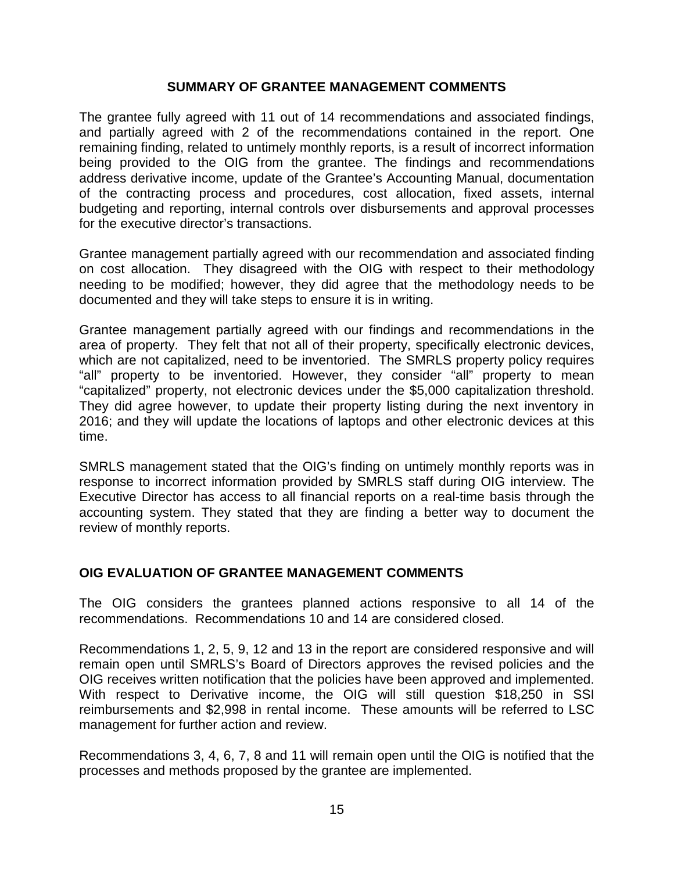#### **SUMMARY OF GRANTEE MANAGEMENT COMMENTS**

The grantee fully agreed with 11 out of 14 recommendations and associated findings, and partially agreed with 2 of the recommendations contained in the report. One remaining finding, related to untimely monthly reports, is a result of incorrect information being provided to the OIG from the grantee. The findings and recommendations address derivative income, update of the Grantee's Accounting Manual, documentation of the contracting process and procedures, cost allocation, fixed assets, internal budgeting and reporting, internal controls over disbursements and approval processes for the executive director's transactions.

Grantee management partially agreed with our recommendation and associated finding on cost allocation. They disagreed with the OIG with respect to their methodology needing to be modified; however, they did agree that the methodology needs to be documented and they will take steps to ensure it is in writing.

Grantee management partially agreed with our findings and recommendations in the area of property. They felt that not all of their property, specifically electronic devices, which are not capitalized, need to be inventoried. The SMRLS property policy requires "all" property to be inventoried. However, they consider "all" property to mean "capitalized" property, not electronic devices under the \$5,000 capitalization threshold. They did agree however, to update their property listing during the next inventory in 2016; and they will update the locations of laptops and other electronic devices at this time.

SMRLS management stated that the OIG's finding on untimely monthly reports was in response to incorrect information provided by SMRLS staff during OIG interview. The Executive Director has access to all financial reports on a real-time basis through the accounting system. They stated that they are finding a better way to document the review of monthly reports.

#### **OIG EVALUATION OF GRANTEE MANAGEMENT COMMENTS**

The OIG considers the grantees planned actions responsive to all 14 of the recommendations. Recommendations 10 and 14 are considered closed.

Recommendations 1, 2, 5, 9, 12 and 13 in the report are considered responsive and will remain open until SMRLS's Board of Directors approves the revised policies and the OIG receives written notification that the policies have been approved and implemented. With respect to Derivative income, the OIG will still question \$18,250 in SSI reimbursements and \$2,998 in rental income. These amounts will be referred to LSC management for further action and review.

Recommendations 3, 4, 6, 7, 8 and 11 will remain open until the OIG is notified that the processes and methods proposed by the grantee are implemented.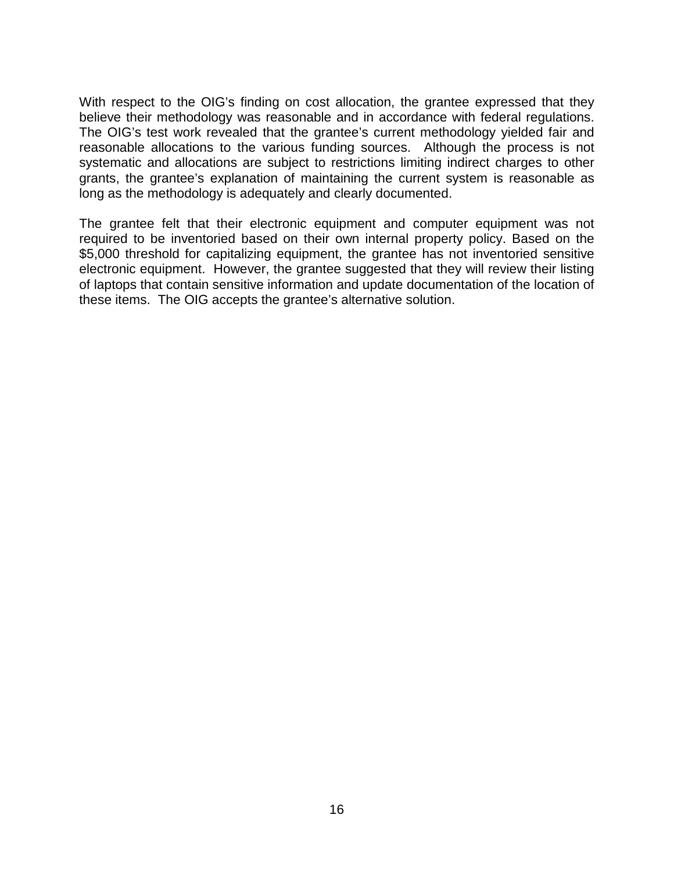With respect to the OIG's finding on cost allocation, the grantee expressed that they believe their methodology was reasonable and in accordance with federal regulations. The OIG's test work revealed that the grantee's current methodology yielded fair and reasonable allocations to the various funding sources. Although the process is not systematic and allocations are subject to restrictions limiting indirect charges to other grants, the grantee's explanation of maintaining the current system is reasonable as long as the methodology is adequately and clearly documented.

The grantee felt that their electronic equipment and computer equipment was not required to be inventoried based on their own internal property policy. Based on the \$5,000 threshold for capitalizing equipment, the grantee has not inventoried sensitive electronic equipment. However, the grantee suggested that they will review their listing of laptops that contain sensitive information and update documentation of the location of these items. The OIG accepts the grantee's alternative solution.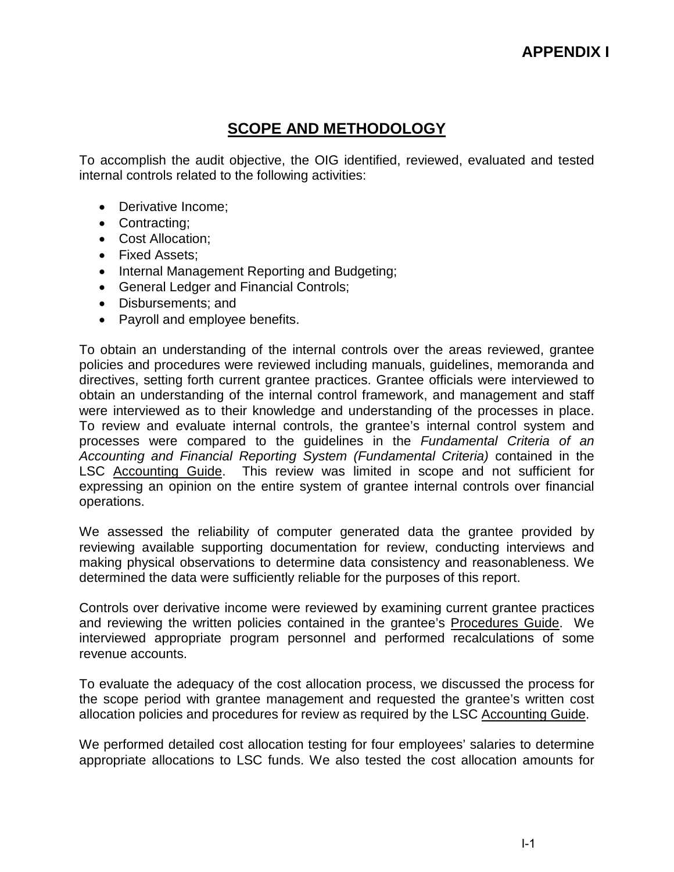### **SCOPE AND METHODOLOGY**

To accomplish the audit objective, the OIG identified, reviewed, evaluated and tested internal controls related to the following activities:

- Derivative Income:
- Contracting;
- Cost Allocation;
- Fixed Assets;
- Internal Management Reporting and Budgeting;
- General Ledger and Financial Controls;
- Disbursements; and
- Payroll and employee benefits.

To obtain an understanding of the internal controls over the areas reviewed, grantee policies and procedures were reviewed including manuals, guidelines, memoranda and directives, setting forth current grantee practices. Grantee officials were interviewed to obtain an understanding of the internal control framework, and management and staff were interviewed as to their knowledge and understanding of the processes in place. To review and evaluate internal controls, the grantee's internal control system and processes were compared to the guidelines in the *Fundamental Criteria of an Accounting and Financial Reporting System (Fundamental Criteria)* contained in the LSC Accounting Guide. This review was limited in scope and not sufficient for expressing an opinion on the entire system of grantee internal controls over financial operations.

We assessed the reliability of computer generated data the grantee provided by reviewing available supporting documentation for review, conducting interviews and making physical observations to determine data consistency and reasonableness. We determined the data were sufficiently reliable for the purposes of this report.

Controls over derivative income were reviewed by examining current grantee practices and reviewing the written policies contained in the grantee's Procedures Guide. We interviewed appropriate program personnel and performed recalculations of some revenue accounts.

To evaluate the adequacy of the cost allocation process, we discussed the process for the scope period with grantee management and requested the grantee's written cost allocation policies and procedures for review as required by the LSC Accounting Guide.

We performed detailed cost allocation testing for four employees' salaries to determine appropriate allocations to LSC funds. We also tested the cost allocation amounts for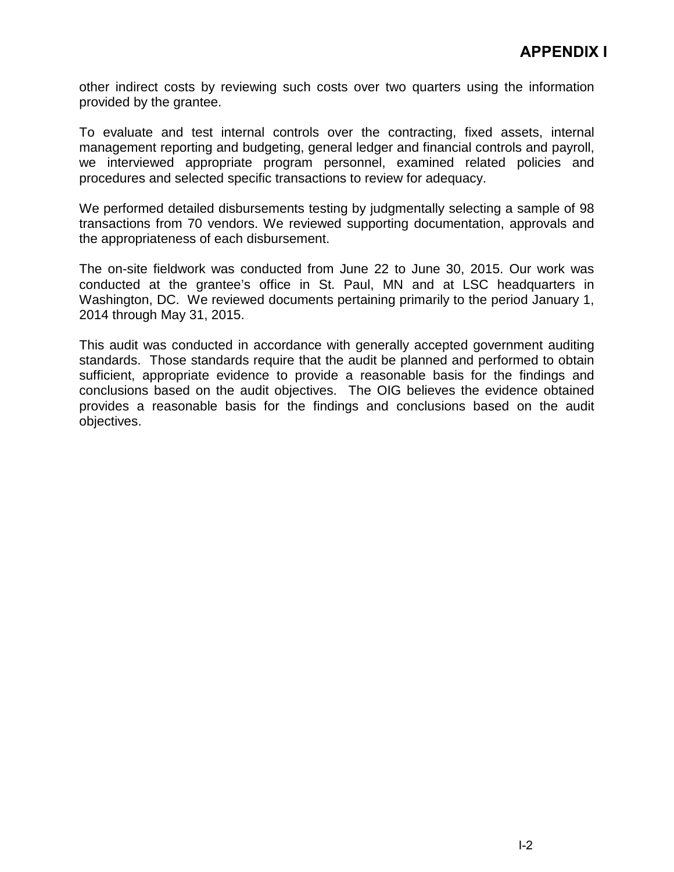other indirect costs by reviewing such costs over two quarters using the information provided by the grantee.

To evaluate and test internal controls over the contracting, fixed assets, internal management reporting and budgeting, general ledger and financial controls and payroll, we interviewed appropriate program personnel, examined related policies and procedures and selected specific transactions to review for adequacy.

We performed detailed disbursements testing by judgmentally selecting a sample of 98 transactions from 70 vendors. We reviewed supporting documentation, approvals and the appropriateness of each disbursement.

The on-site fieldwork was conducted from June 22 to June 30, 2015. Our work was conducted at the grantee's office in St. Paul, MN and at LSC headquarters in Washington, DC. We reviewed documents pertaining primarily to the period January 1, 2014 through May 31, 2015.

This audit was conducted in accordance with generally accepted government auditing standards. Those standards require that the audit be planned and performed to obtain sufficient, appropriate evidence to provide a reasonable basis for the findings and conclusions based on the audit objectives. The OIG believes the evidence obtained provides a reasonable basis for the findings and conclusions based on the audit objectives.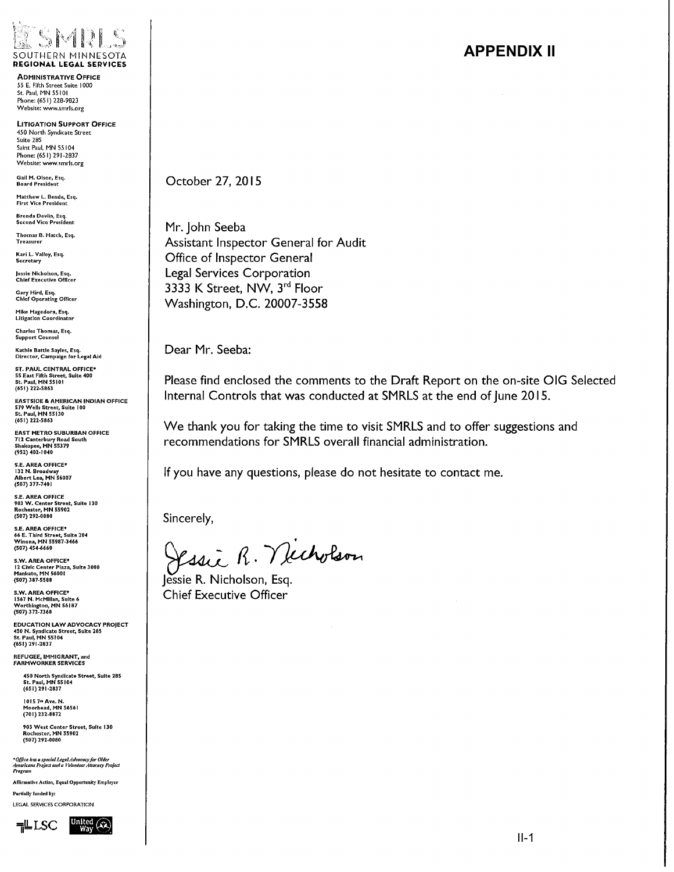

**ADMINISTRATIVE OFFICE** 55 E. Fifth Street Suite 1000 St. Paul, MN 55101 Phone: (651) 228-9823<br>Website: www.smrls.org

**LITIGATION SUPPORT OFFICE** 450 North Syndicate Street Suite 285 Saint Paul, MN 55104 Phone: (651) 291-2837 Website: www.smrls.org

Gail M. Olson, Esq.<br>Board President

Matthew L. Benda, Esq. **First Vice President** 

Brenda Devlin, Esq. **Second Vice President** 

Thomas B. Hatch, Esq.<br>Treasurer

Kari L. Valley, Esq. Secretary

Jessie Nicholson, Esq.<br>Chief Executive Officer

Gary Hird, Esq.<br>Chief Operating Officer

Mike Hagedorn, Esq.<br>Litigation Coordinator

Charles Thomas, Esq. Support Counsel

Kathie Battle Sayles, Esg Director, Campaign for Legal Aid

ST. PAUL CENTRAL OFFICE\*<br>55 East Fifth Street, Suite 400<br>St. Paul, MN 55101<br>(651) 222-5863

EASTSIDE & AMERICAN INDIAN OFFICE<br>579 Wells Street, Suite 100<br>St. Paul, MN 55130  $(651) 222 - 5863$ 

EAST METRO SUBURBAN OFFICE<br>712 Canterbury Road South<br>Shakopee, MN 55379<br>(952) 402-1040

S.E. AREA OFFICE\*<br>132 N. Broadway<br>Albert Lea, MN 56007<br>(507) 377-7401

S.E. AREA OFFICE<br>903 W. Center Street, Suite 130<br>Rochester, MN 55902<br>(507) 292-0080

S.E. AREA OFFICE\*<br>66 E. Third Street, Suite 204<br>Winona, MN 55987-3466<br>(507) 454-6660

S.W. AREA OFFICE\*<br>12 Civic Center Plaza, Suite 3000<br>Mankato, MN 56001<br>(507) 387-5588

S.W. AREA OFFICE\*<br>1567 N. McMillan, Suite 6<br>Worthington, MN 56187<br>(507) 372-7368

EDUCATION LAW ADVOCACY PROJECT<br>450 N. Syndicate Street, Suite 285<br>St. Paul, MN 55104  $(651)$  291-2837

REFUGEE, IMMIGRANT, and<br>FARMWORKER SERVICES

450 North Syndicate Street, Suite 285<br>St. Paul, MN 55104<br>(651) 291-2837

1015 7ª Ave. N.<br>Moorhead, MN 56561 (701) 232-8872

903 West Center Street, Suite 130<br>Rochester, MN 55902<br>(507) 292-0080

\*Office has a special Legal Advocacy for Older<br>Americans Project and a Volunteer Attorney Project<br>Program

Affirmative Action, Equal Opportunity Employer Partially funded by:

**LEGAL SERVICES CORPORATION** 



**APPENDIX II**

October 27, 2015

Mr. John Seeba Assistant Inspector General for Audit Office of Inspector General Legal Services Corporation 3333 K Street, NW, 3rd Floor Washington, D.C. 20007-3558

Dear Mr. Seeba:

Please find enclosed the comments to the Draft Report on the on-site OIG Selected Internal Controls that was conducted at SMRLS at the end of June 2015.

We thank you for taking the time to visit SMRLS and to offer suggestions and recommendations for SMRLS overall financial administration.

If you have any questions, please do not hesitate to contact me.

Sincerely,

Jessie R. Necholson

Jessie R. Nicholson, Esq. **Chief Executive Officer**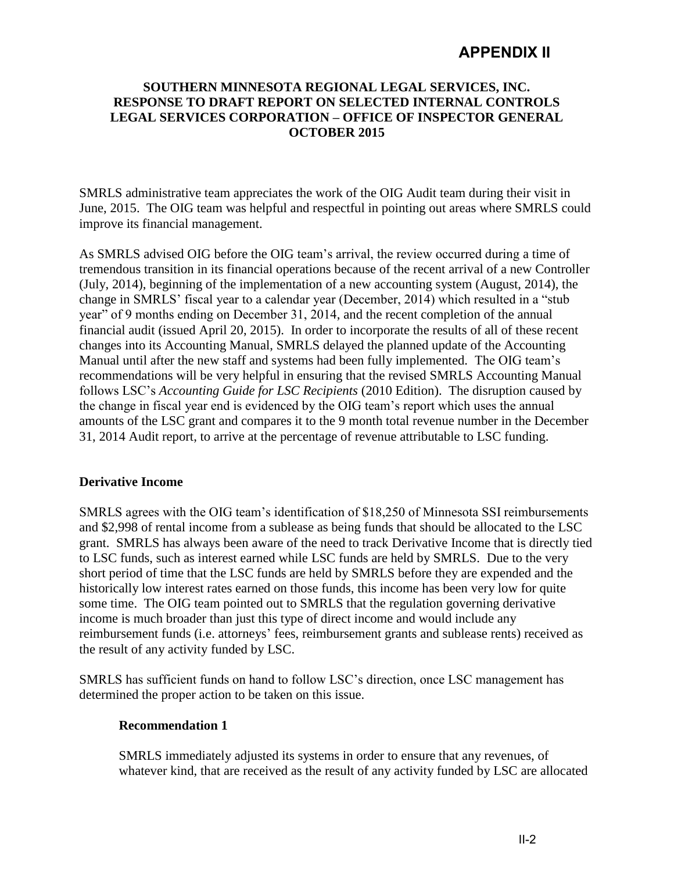### **APPENDIX II**

#### **SOUTHERN MINNESOTA REGIONAL LEGAL SERVICES, INC. RESPONSE TO DRAFT REPORT ON SELECTED INTERNAL CONTROLS LEGAL SERVICES CORPORATION – OFFICE OF INSPECTOR GENERAL OCTOBER 2015**

SMRLS administrative team appreciates the work of the OIG Audit team during their visit in June, 2015. The OIG team was helpful and respectful in pointing out areas where SMRLS could improve its financial management.

As SMRLS advised OIG before the OIG team's arrival, the review occurred during a time of tremendous transition in its financial operations because of the recent arrival of a new Controller (July, 2014), beginning of the implementation of a new accounting system (August, 2014), the change in SMRLS' fiscal year to a calendar year (December, 2014) which resulted in a "stub year" of 9 months ending on December 31, 2014, and the recent completion of the annual financial audit (issued April 20, 2015). In order to incorporate the results of all of these recent changes into its Accounting Manual, SMRLS delayed the planned update of the Accounting Manual until after the new staff and systems had been fully implemented. The OIG team's recommendations will be very helpful in ensuring that the revised SMRLS Accounting Manual follows LSC's *Accounting Guide for LSC Recipients* (2010 Edition). The disruption caused by the change in fiscal year end is evidenced by the OIG team's report which uses the annual amounts of the LSC grant and compares it to the 9 month total revenue number in the December 31, 2014 Audit report, to arrive at the percentage of revenue attributable to LSC funding.

#### **Derivative Income**

SMRLS agrees with the OIG team's identification of \$18,250 of Minnesota SSI reimbursements and \$2,998 of rental income from a sublease as being funds that should be allocated to the LSC grant. SMRLS has always been aware of the need to track Derivative Income that is directly tied to LSC funds, such as interest earned while LSC funds are held by SMRLS. Due to the very short period of time that the LSC funds are held by SMRLS before they are expended and the historically low interest rates earned on those funds, this income has been very low for quite some time. The OIG team pointed out to SMRLS that the regulation governing derivative income is much broader than just this type of direct income and would include any reimbursement funds (i.e. attorneys' fees, reimbursement grants and sublease rents) received as the result of any activity funded by LSC.

SMRLS has sufficient funds on hand to follow LSC's direction, once LSC management has determined the proper action to be taken on this issue.

#### **Recommendation 1**

SMRLS immediately adjusted its systems in order to ensure that any revenues, of whatever kind, that are received as the result of any activity funded by LSC are allocated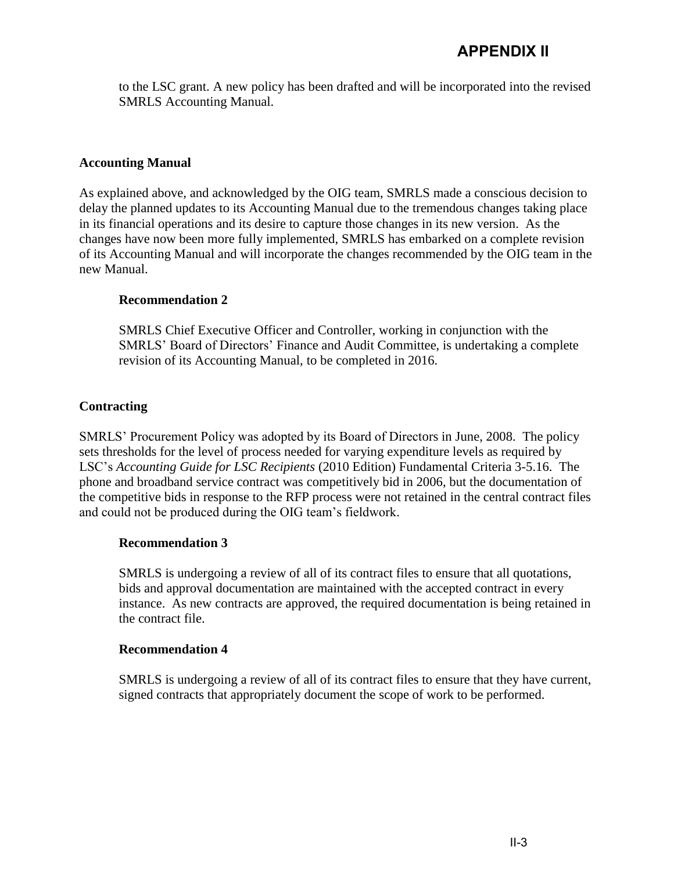to the LSC grant. A new policy has been drafted and will be incorporated into the revised SMRLS Accounting Manual.

#### **Accounting Manual**

As explained above, and acknowledged by the OIG team, SMRLS made a conscious decision to delay the planned updates to its Accounting Manual due to the tremendous changes taking place in its financial operations and its desire to capture those changes in its new version. As the changes have now been more fully implemented, SMRLS has embarked on a complete revision of its Accounting Manual and will incorporate the changes recommended by the OIG team in the new Manual.

#### **Recommendation 2**

SMRLS Chief Executive Officer and Controller, working in conjunction with the SMRLS' Board of Directors' Finance and Audit Committee, is undertaking a complete revision of its Accounting Manual, to be completed in 2016.

#### **Contracting**

SMRLS' Procurement Policy was adopted by its Board of Directors in June, 2008. The policy sets thresholds for the level of process needed for varying expenditure levels as required by LSC's *Accounting Guide for LSC Recipients* (2010 Edition) Fundamental Criteria 3-5.16. The phone and broadband service contract was competitively bid in 2006, but the documentation of the competitive bids in response to the RFP process were not retained in the central contract files and could not be produced during the OIG team's fieldwork.

#### **Recommendation 3**

SMRLS is undergoing a review of all of its contract files to ensure that all quotations, bids and approval documentation are maintained with the accepted contract in every instance. As new contracts are approved, the required documentation is being retained in the contract file.

#### **Recommendation 4**

SMRLS is undergoing a review of all of its contract files to ensure that they have current, signed contracts that appropriately document the scope of work to be performed.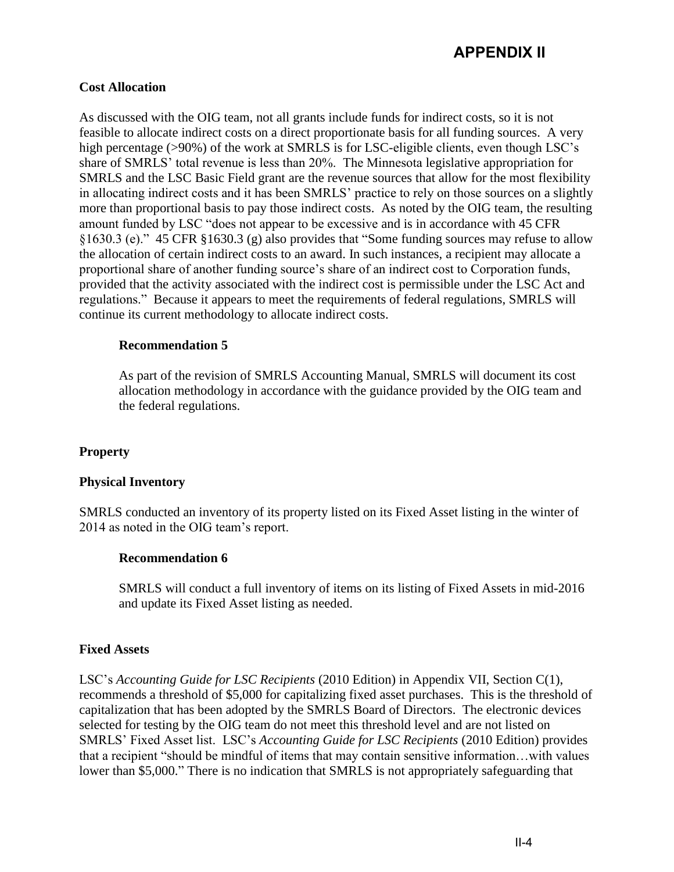### **APPENDIX II**

#### **Cost Allocation**

As discussed with the OIG team, not all grants include funds for indirect costs, so it is not feasible to allocate indirect costs on a direct proportionate basis for all funding sources. A very high percentage (>90%) of the work at SMRLS is for LSC-eligible clients, even though LSC's share of SMRLS' total revenue is less than 20%. The Minnesota legislative appropriation for SMRLS and the LSC Basic Field grant are the revenue sources that allow for the most flexibility in allocating indirect costs and it has been SMRLS' practice to rely on those sources on a slightly more than proportional basis to pay those indirect costs. As noted by the OIG team, the resulting amount funded by LSC "does not appear to be excessive and is in accordance with 45 CFR §1630.3 (e)." 45 CFR §1630.3 (g) also provides that "Some funding sources may refuse to allow the allocation of certain indirect costs to an award. In such instances, a recipient may allocate a proportional share of another funding source's share of an indirect cost to Corporation funds, provided that the activity associated with the indirect cost is permissible under the LSC Act and regulations." Because it appears to meet the requirements of federal regulations, SMRLS will continue its current methodology to allocate indirect costs.

#### **Recommendation 5**

As part of the revision of SMRLS Accounting Manual, SMRLS will document its cost allocation methodology in accordance with the guidance provided by the OIG team and the federal regulations.

#### **Property**

#### **Physical Inventory**

SMRLS conducted an inventory of its property listed on its Fixed Asset listing in the winter of 2014 as noted in the OIG team's report.

#### **Recommendation 6**

SMRLS will conduct a full inventory of items on its listing of Fixed Assets in mid-2016 and update its Fixed Asset listing as needed.

#### **Fixed Assets**

LSC's *Accounting Guide for LSC Recipients* (2010 Edition) in Appendix VII, Section C(1), recommends a threshold of \$5,000 for capitalizing fixed asset purchases. This is the threshold of capitalization that has been adopted by the SMRLS Board of Directors. The electronic devices selected for testing by the OIG team do not meet this threshold level and are not listed on SMRLS' Fixed Asset list. LSC's *Accounting Guide for LSC Recipients* (2010 Edition) provides that a recipient "should be mindful of items that may contain sensitive information…with values lower than \$5,000." There is no indication that SMRLS is not appropriately safeguarding that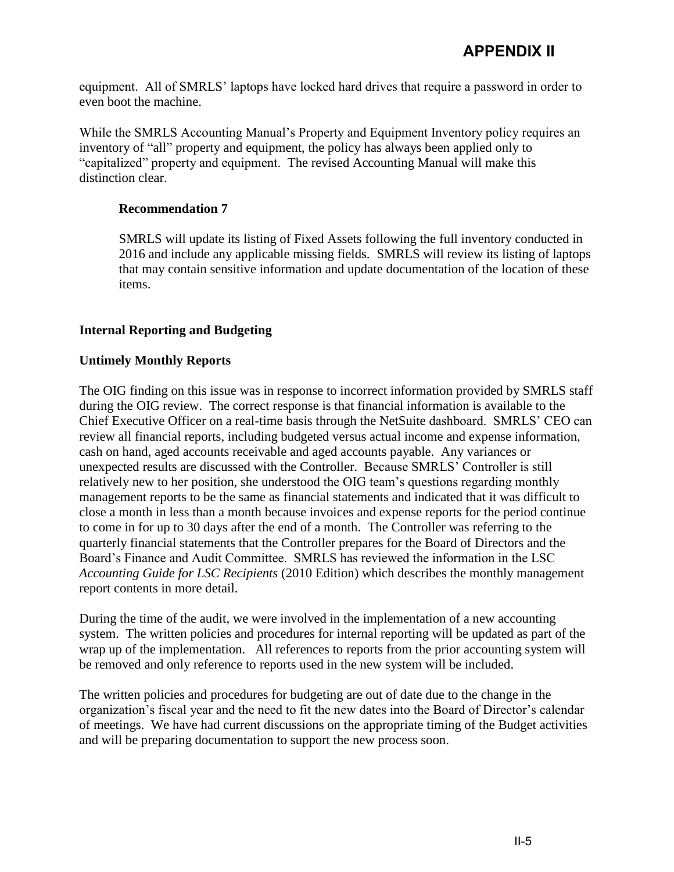equipment. All of SMRLS' laptops have locked hard drives that require a password in order to even boot the machine.

While the SMRLS Accounting Manual's Property and Equipment Inventory policy requires an inventory of "all" property and equipment, the policy has always been applied only to "capitalized" property and equipment. The revised Accounting Manual will make this distinction clear.

#### **Recommendation 7**

SMRLS will update its listing of Fixed Assets following the full inventory conducted in 2016 and include any applicable missing fields. SMRLS will review its listing of laptops that may contain sensitive information and update documentation of the location of these items.

#### **Internal Reporting and Budgeting**

#### **Untimely Monthly Reports**

The OIG finding on this issue was in response to incorrect information provided by SMRLS staff during the OIG review. The correct response is that financial information is available to the Chief Executive Officer on a real-time basis through the NetSuite dashboard. SMRLS' CEO can review all financial reports, including budgeted versus actual income and expense information, cash on hand, aged accounts receivable and aged accounts payable. Any variances or unexpected results are discussed with the Controller. Because SMRLS' Controller is still relatively new to her position, she understood the OIG team's questions regarding monthly management reports to be the same as financial statements and indicated that it was difficult to close a month in less than a month because invoices and expense reports for the period continue to come in for up to 30 days after the end of a month. The Controller was referring to the quarterly financial statements that the Controller prepares for the Board of Directors and the Board's Finance and Audit Committee. SMRLS has reviewed the information in the LSC *Accounting Guide for LSC Recipients* (2010 Edition) which describes the monthly management report contents in more detail.

During the time of the audit, we were involved in the implementation of a new accounting system. The written policies and procedures for internal reporting will be updated as part of the wrap up of the implementation. All references to reports from the prior accounting system will be removed and only reference to reports used in the new system will be included.

The written policies and procedures for budgeting are out of date due to the change in the organization's fiscal year and the need to fit the new dates into the Board of Director's calendar of meetings. We have had current discussions on the appropriate timing of the Budget activities and will be preparing documentation to support the new process soon.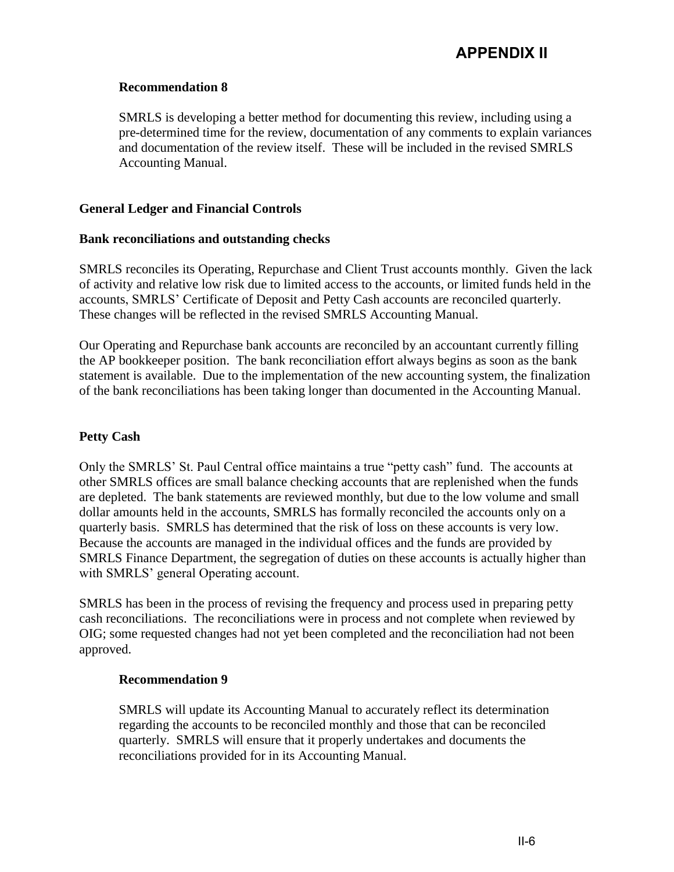#### **Recommendation 8**

SMRLS is developing a better method for documenting this review, including using a pre-determined time for the review, documentation of any comments to explain variances and documentation of the review itself. These will be included in the revised SMRLS Accounting Manual.

#### **General Ledger and Financial Controls**

#### **Bank reconciliations and outstanding checks**

SMRLS reconciles its Operating, Repurchase and Client Trust accounts monthly. Given the lack of activity and relative low risk due to limited access to the accounts, or limited funds held in the accounts, SMRLS' Certificate of Deposit and Petty Cash accounts are reconciled quarterly. These changes will be reflected in the revised SMRLS Accounting Manual.

Our Operating and Repurchase bank accounts are reconciled by an accountant currently filling the AP bookkeeper position. The bank reconciliation effort always begins as soon as the bank statement is available. Due to the implementation of the new accounting system, the finalization of the bank reconciliations has been taking longer than documented in the Accounting Manual.

#### **Petty Cash**

Only the SMRLS' St. Paul Central office maintains a true "petty cash" fund. The accounts at other SMRLS offices are small balance checking accounts that are replenished when the funds are depleted. The bank statements are reviewed monthly, but due to the low volume and small dollar amounts held in the accounts, SMRLS has formally reconciled the accounts only on a quarterly basis. SMRLS has determined that the risk of loss on these accounts is very low. Because the accounts are managed in the individual offices and the funds are provided by SMRLS Finance Department, the segregation of duties on these accounts is actually higher than with SMRLS' general Operating account.

SMRLS has been in the process of revising the frequency and process used in preparing petty cash reconciliations. The reconciliations were in process and not complete when reviewed by OIG; some requested changes had not yet been completed and the reconciliation had not been approved.

#### **Recommendation 9**

SMRLS will update its Accounting Manual to accurately reflect its determination regarding the accounts to be reconciled monthly and those that can be reconciled quarterly. SMRLS will ensure that it properly undertakes and documents the reconciliations provided for in its Accounting Manual.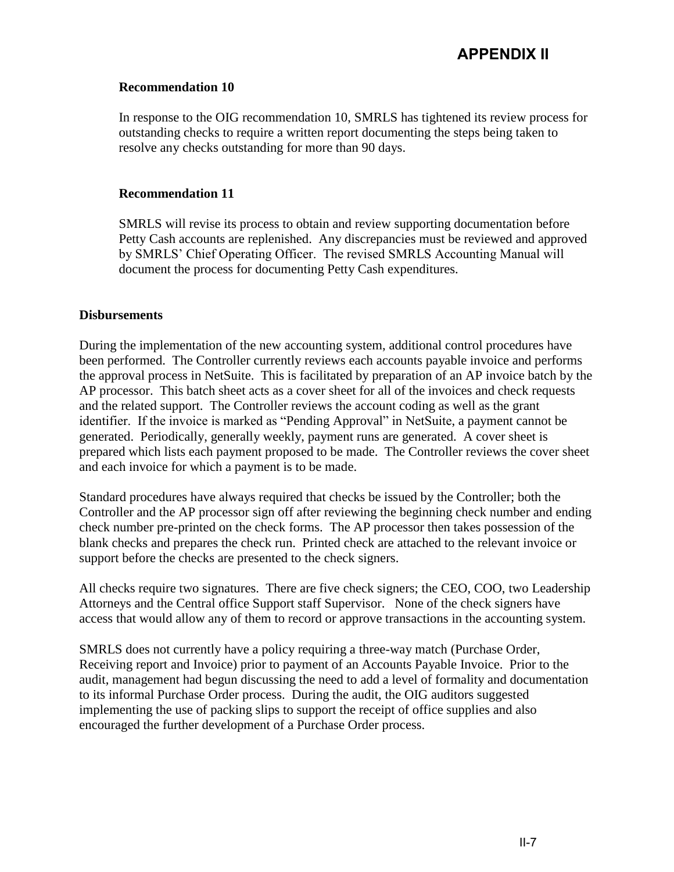#### **Recommendation 10**

In response to the OIG recommendation 10, SMRLS has tightened its review process for outstanding checks to require a written report documenting the steps being taken to resolve any checks outstanding for more than 90 days.

#### **Recommendation 11**

SMRLS will revise its process to obtain and review supporting documentation before Petty Cash accounts are replenished. Any discrepancies must be reviewed and approved by SMRLS' Chief Operating Officer. The revised SMRLS Accounting Manual will document the process for documenting Petty Cash expenditures.

#### **Disbursements**

During the implementation of the new accounting system, additional control procedures have been performed. The Controller currently reviews each accounts payable invoice and performs the approval process in NetSuite. This is facilitated by preparation of an AP invoice batch by the AP processor. This batch sheet acts as a cover sheet for all of the invoices and check requests and the related support. The Controller reviews the account coding as well as the grant identifier. If the invoice is marked as "Pending Approval" in NetSuite, a payment cannot be generated. Periodically, generally weekly, payment runs are generated. A cover sheet is prepared which lists each payment proposed to be made. The Controller reviews the cover sheet and each invoice for which a payment is to be made.

Standard procedures have always required that checks be issued by the Controller; both the Controller and the AP processor sign off after reviewing the beginning check number and ending check number pre-printed on the check forms. The AP processor then takes possession of the blank checks and prepares the check run. Printed check are attached to the relevant invoice or support before the checks are presented to the check signers.

All checks require two signatures. There are five check signers; the CEO, COO, two Leadership Attorneys and the Central office Support staff Supervisor. None of the check signers have access that would allow any of them to record or approve transactions in the accounting system.

SMRLS does not currently have a policy requiring a three-way match (Purchase Order, Receiving report and Invoice) prior to payment of an Accounts Payable Invoice. Prior to the audit, management had begun discussing the need to add a level of formality and documentation to its informal Purchase Order process. During the audit, the OIG auditors suggested implementing the use of packing slips to support the receipt of office supplies and also encouraged the further development of a Purchase Order process.